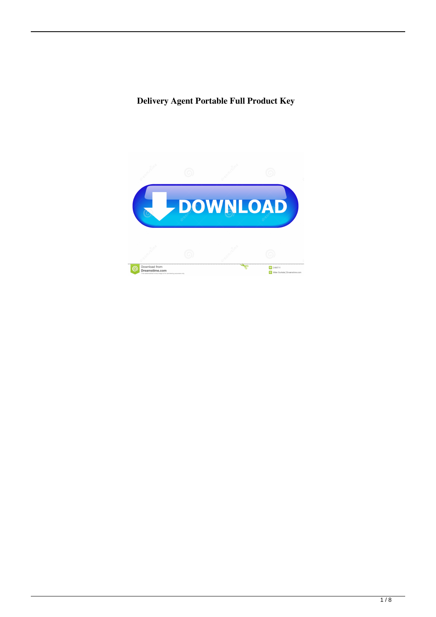**Delivery Agent Portable Full Product Key**

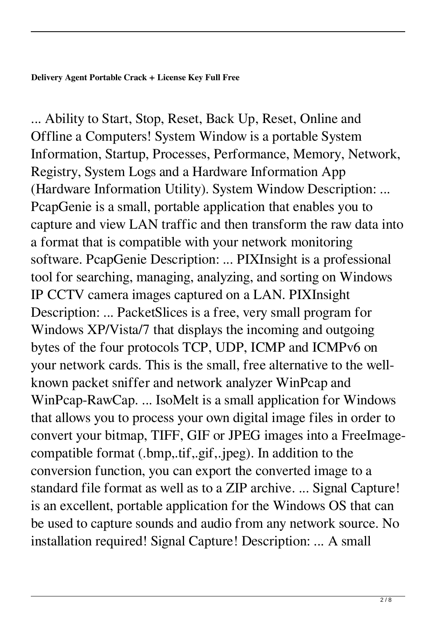**Delivery Agent Portable Crack + License Key Full Free**

... Ability to Start, Stop, Reset, Back Up, Reset, Online and Offline a Computers! System Window is a portable System Information, Startup, Processes, Performance, Memory, Network, Registry, System Logs and a Hardware Information App (Hardware Information Utility). System Window Description: ... PcapGenie is a small, portable application that enables you to capture and view LAN traffic and then transform the raw data into a format that is compatible with your network monitoring software. PcapGenie Description: ... PIXInsight is a professional tool for searching, managing, analyzing, and sorting on Windows IP CCTV camera images captured on a LAN. PIXInsight Description: ... PacketSlices is a free, very small program for Windows XP/Vista/7 that displays the incoming and outgoing bytes of the four protocols TCP, UDP, ICMP and ICMPv6 on your network cards. This is the small, free alternative to the wellknown packet sniffer and network analyzer WinPcap and WinPcap-RawCap. ... IsoMelt is a small application for Windows that allows you to process your own digital image files in order to convert your bitmap, TIFF, GIF or JPEG images into a FreeImagecompatible format (.bmp,.tif,.gif,.jpeg). In addition to the conversion function, you can export the converted image to a standard file format as well as to a ZIP archive. ... Signal Capture! is an excellent, portable application for the Windows OS that can be used to capture sounds and audio from any network source. No installation required! Signal Capture! Description: ... A small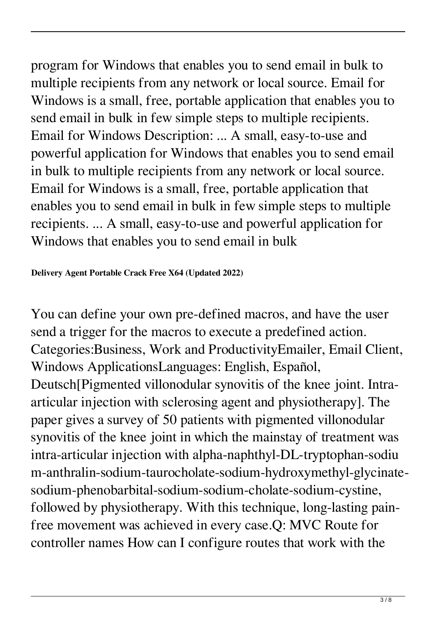program for Windows that enables you to send email in bulk to multiple recipients from any network or local source. Email for Windows is a small, free, portable application that enables you to send email in bulk in few simple steps to multiple recipients. Email for Windows Description: ... A small, easy-to-use and powerful application for Windows that enables you to send email in bulk to multiple recipients from any network or local source. Email for Windows is a small, free, portable application that enables you to send email in bulk in few simple steps to multiple recipients. ... A small, easy-to-use and powerful application for Windows that enables you to send email in bulk

**Delivery Agent Portable Crack Free X64 (Updated 2022)**

You can define your own pre-defined macros, and have the user send a trigger for the macros to execute a predefined action. Categories:Business, Work and ProductivityEmailer, Email Client, Windows ApplicationsLanguages: English, Español, Deutsch[Pigmented villonodular synovitis of the knee joint. Intraarticular injection with sclerosing agent and physiotherapy]. The paper gives a survey of 50 patients with pigmented villonodular synovitis of the knee joint in which the mainstay of treatment was intra-articular injection with alpha-naphthyl-DL-tryptophan-sodiu m-anthralin-sodium-taurocholate-sodium-hydroxymethyl-glycinatesodium-phenobarbital-sodium-sodium-cholate-sodium-cystine, followed by physiotherapy. With this technique, long-lasting painfree movement was achieved in every case.Q: MVC Route for controller names How can I configure routes that work with the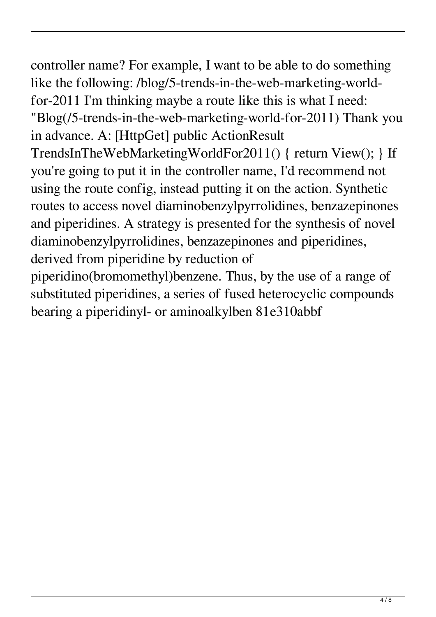controller name? For example, I want to be able to do something like the following: /blog/5-trends-in-the-web-marketing-worldfor-2011 I'm thinking maybe a route like this is what I need: "Blog(/5-trends-in-the-web-marketing-world-for-2011) Thank you in advance. A: [HttpGet] public ActionResult TrendsInTheWebMarketingWorldFor2011() { return View(); } If you're going to put it in the controller name, I'd recommend not using the route config, instead putting it on the action. Synthetic routes to access novel diaminobenzylpyrrolidines, benzazepinones and piperidines. A strategy is presented for the synthesis of novel diaminobenzylpyrrolidines, benzazepinones and piperidines, derived from piperidine by reduction of piperidino(bromomethyl)benzene. Thus, by the use of a range of

substituted piperidines, a series of fused heterocyclic compounds bearing a piperidinyl- or aminoalkylben 81e310abbf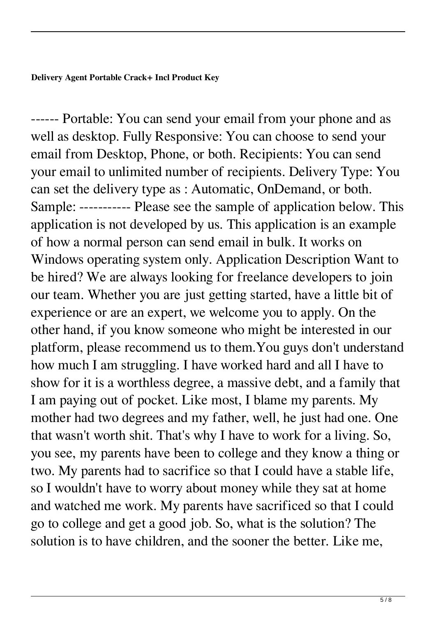**Delivery Agent Portable Crack+ Incl Product Key**

------ Portable: You can send your email from your phone and as well as desktop. Fully Responsive: You can choose to send your email from Desktop, Phone, or both. Recipients: You can send your email to unlimited number of recipients. Delivery Type: You can set the delivery type as : Automatic, OnDemand, or both. Sample: ----------- Please see the sample of application below. This application is not developed by us. This application is an example of how a normal person can send email in bulk. It works on Windows operating system only. Application Description Want to be hired? We are always looking for freelance developers to join our team. Whether you are just getting started, have a little bit of experience or are an expert, we welcome you to apply. On the other hand, if you know someone who might be interested in our platform, please recommend us to them.You guys don't understand how much I am struggling. I have worked hard and all I have to show for it is a worthless degree, a massive debt, and a family that I am paying out of pocket. Like most, I blame my parents. My mother had two degrees and my father, well, he just had one. One that wasn't worth shit. That's why I have to work for a living. So, you see, my parents have been to college and they know a thing or two. My parents had to sacrifice so that I could have a stable life, so I wouldn't have to worry about money while they sat at home and watched me work. My parents have sacrificed so that I could go to college and get a good job. So, what is the solution? The solution is to have children, and the sooner the better. Like me,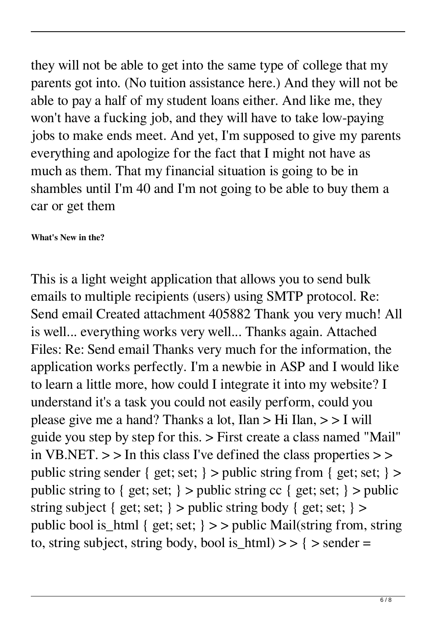they will not be able to get into the same type of college that my parents got into. (No tuition assistance here.) And they will not be able to pay a half of my student loans either. And like me, they won't have a fucking job, and they will have to take low-paying jobs to make ends meet. And yet, I'm supposed to give my parents everything and apologize for the fact that I might not have as much as them. That my financial situation is going to be in shambles until I'm 40 and I'm not going to be able to buy them a car or get them

## **What's New in the?**

This is a light weight application that allows you to send bulk emails to multiple recipients (users) using SMTP protocol. Re: Send email Created attachment 405882 Thank you very much! All is well... everything works very well... Thanks again. Attached Files: Re: Send email Thanks very much for the information, the application works perfectly. I'm a newbie in ASP and I would like to learn a little more, how could I integrate it into my website? I understand it's a task you could not easily perform, could you please give me a hand? Thanks a lot, Ilan > Hi Ilan, > > I will guide you step by step for this. > First create a class named "Mail" in VB.NET.  $>$  > In this class I've defined the class properties  $>$  > public string sender { get; set; } > public string from { get; set; } > public string to { get; set; } > public string cc { get; set; } > public string subject { get; set; } > public string body { get; set; } > public bool is\_html { get; set; } > > public Mail(string from, string to, string subject, string body, bool is\_html)  $>$  > { > sender =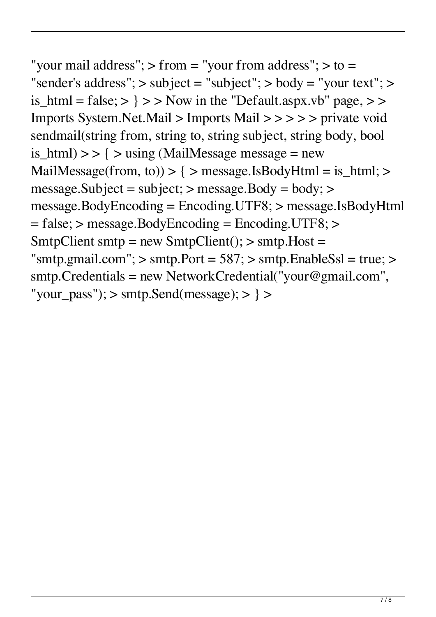"your mail address"; > from = "your from address"; > to = "sender's address";  $>$  subject = "subject";  $>$  body = "your text";  $>$ is\_html = false;  $>$  }  $>$  >  $>$  Now in the "Default.aspx.vb" page,  $>$  > Imports System.Net.Mail > Imports Mail > > > > > private void sendmail(string from, string to, string subject, string body, bool is\_html)  $>>$  {  $>$  using (MailMessage message = new MailMessage(from, to)) > { > message.IsBodyHtml = is\_html; > message.Subject = subject; > message.Body = body; > message.BodyEncoding = Encoding.UTF8; > message.IsBodyHtml = false; > message.BodyEncoding = Encoding.UTF8; > SmtpClient smtp = new SmtpClient();  $>$  smtp. Host = "smtp.gmail.com";  $>$  smtp.Port = 587;  $>$  smtp.EnableSsl = true;  $>$ smtp.Credentials = new NetworkCredential("your@gmail.com", "your\_pass");  $>$  smtp.Send(message);  $>$  }  $>$